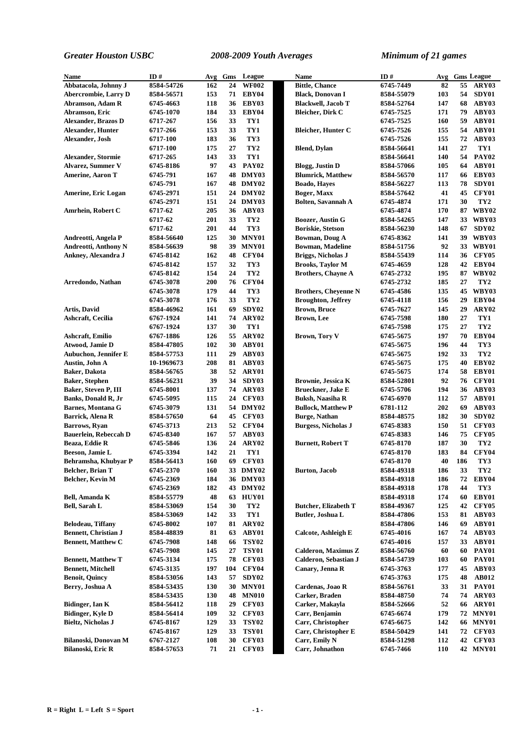| <b>Name</b>                  | ID#        | Avg | Gms | League          | Name                        | ID#        | Avg |     | <b>Gms</b> League |
|------------------------------|------------|-----|-----|-----------------|-----------------------------|------------|-----|-----|-------------------|
| Abbatacola, Johnny J         | 8584-54726 | 162 | 24  | <b>WF002</b>    | <b>Bittle, Chance</b>       | 6745-7449  | 82  | 55  | ARY03             |
| <b>Abercrombie, Larry D</b>  | 8584-56571 | 153 | 71  | EBY04           | <b>Black, Donovan I</b>     | 8584-55079 | 103 | 54  | SDY01             |
| Abramson, Adam R             | 6745-4663  | 118 | 36  | EBY03           | <b>Blackwell, Jacob T</b>   | 8584-52764 | 147 | 68  | ABY03             |
| Abramson, Eric               | 6745-1070  | 184 | 33  | EBY04           | <b>Bleicher, Dirk C</b>     | 6745-7525  | 171 | 79  | ABY03             |
| <b>Alexander, Brazos D</b>   | 6717-267   | 156 | 33  | TY1             |                             | 6745-7525  | 160 | 59  | ABY01             |
| <b>Alexander, Hunter</b>     | 6717-266   | 153 | 33  | TY1             | <b>Bleicher, Hunter C</b>   | 6745-7526  | 155 | 54  | ABY01             |
| Alexander, Josh              | 6717-100   | 183 | 36  | TY3             |                             | 6745-7526  | 155 | 72  | ABY03             |
|                              | 6717-100   | 175 | 27  | TY <sub>2</sub> | <b>Blend, Dylan</b>         | 8584-56641 | 141 | 27  | TY1               |
| <b>Alexander, Stormie</b>    | 6717-265   | 143 | 33  | TY1             |                             | 8584-56641 | 140 | 54  | <b>PAY02</b>      |
| <b>Alvarez, Summer V</b>     | 6745-8186  | 97  |     | 43 PAY02        | <b>Blogg, Justin D</b>      | 8584-57066 | 105 | 64  | ABY01             |
| <b>Amerine, Aaron T</b>      | 6745-791   | 167 |     | 48 DMY03        | <b>Blumrick, Matthew</b>    | 8584-56570 | 117 | 66  | EBY03             |
|                              | 6745-791   | 167 |     | <b>48 DMY02</b> | <b>Boado</b> , Haves        | 8584-56227 | 113 | 78  | SDY01             |
| Amerine, Eric Logan          | 6745-2971  | 151 |     | 24 DMY02        | Boger, Maxx                 | 8584-57642 | 41  | 45  | CFY01             |
|                              | 6745-2971  | 151 |     | 24 DMY03        | <b>Bolten, Savannah A</b>   | 6745-4874  | 171 | 30  | TY <sub>2</sub>   |
| Amrhein, Robert C            | 6717-62    | 205 | 36  | ABY03           |                             | 6745-4874  | 170 | 87  | <b>WBY02</b>      |
|                              | 6717-62    | 201 | 33  | TY <sub>2</sub> | <b>Boozer, Austin G</b>     | 8584-54265 | 147 | 33  | WBY03             |
|                              | 6717-62    | 201 | 44  | TY3             | <b>Boriskie, Stetson</b>    | 8584-56230 | 148 | 67  | SDY02             |
| Andreotti, Angela P          | 8584-56640 | 125 | 30  | MNY01           | Bowman, Doug A              | 6745-8362  | 141 | 39  | WBY03             |
| Andreotti, Anthony N         | 8584-56639 | 98  | 39  | MNY01           | <b>Bowman, Madeline</b>     | 8584-51756 | 92  |     | 33 WBY01          |
| Ankney, Alexandra J          | 6745-8142  | 162 | 48  | <b>CFY04</b>    | Briggs, Nicholas J          | 8584-55439 | 114 | 36  | <b>CFY05</b>      |
|                              | 6745-8142  | 157 | 32  | TY3             | <b>Brooks, Taylor M</b>     | 6745-4659  | 128 | 42  | EBY04             |
|                              | 6745-8142  | 154 | 24  | TY <sub>2</sub> | <b>Brothers, Chayne A</b>   | 6745-2732  | 195 | 87  | <b>WBY02</b>      |
| Arredondo, Nathan            | 6745-3078  | 200 | 76  | <b>CFY04</b>    |                             | 6745-2732  | 185 | 27  | TY <sub>2</sub>   |
|                              | 6745-3078  | 179 | 44  | TY3             | <b>Brothers, Cheyenne N</b> | 6745-4586  | 135 | 45  | WBY03             |
|                              | 6745-3078  | 176 | 33  | TY <sub>2</sub> | <b>Broughton, Jeffrey</b>   | 6745-4118  | 156 | 29  | EBY04             |
| Artis, David                 | 8584-46962 | 161 | 69  | SDY02           | <b>Brown, Bruce</b>         | 6745-7627  | 145 | 29  | ARY02             |
| Ashcraft, Cecilia            | 6767-1924  | 141 | 74  | ARY02           | Brown, Lee                  | 6745-7598  | 180 | 27  | TY1               |
|                              | 6767-1924  | 137 | 30  | TY1             |                             | 6745-7598  | 175 | 27  | TY <sub>2</sub>   |
| Ashcraft, Emilio             | 6767-1886  | 126 | 55  | ARY02           | <b>Brown, Tory V</b>        | 6745-5675  | 197 | 70  | EBY04             |
| Atwood, Jamie D              | 8584-47805 | 102 | 30  | ABY01           |                             | 6745-5675  | 196 | 44  | TY3               |
| <b>Aubuchon, Jennifer E</b>  | 8584-57753 | 111 | 29  | ABY03           |                             | 6745-5675  | 192 | 33  | TY <sub>2</sub>   |
| Austin, John A               | 10-1969673 | 208 | 81  | ABY03           |                             | 6745-5675  | 175 | 40  | EBY02             |
| <b>Baker</b> , Dakota        | 8584-56765 | 38  | 52  | ARY01           |                             | 6745-5675  | 174 | 58  | EBY01             |
| <b>Baker, Stephen</b>        | 8584-56231 | 39  | 34  | SDY03           | <b>Brownie, Jessica K</b>   | 8584-52801 | 92  | 76  | <b>CFY01</b>      |
| Baker, Steven P, III         | 6745-8001  | 137 | 74  | ARY03           | Brueckner, Jake E           | 6745-5706  | 194 | 36  | ABY03             |
| <b>Banks, Donald R, Jr</b>   | 6745-5095  | 115 | 24  | <b>CFY03</b>    | <b>Buksh, Naasiha R</b>     | 6745-6970  | 112 | 57  | ABY01             |
| <b>Barnes, Montana G</b>     | 6745-3079  | 131 |     | 54 DMY02        | <b>Bullock, Matthew P</b>   | 6781-112   | 202 | 69  | ABY03             |
| Barrick, Alena R             | 8584-57650 | 64  | 45  | <b>CFY03</b>    | <b>Burge, Nathan</b>        | 8584-48575 | 182 | 30  | SDY02             |
| <b>Barrows</b> , Ryan        | 6745-3713  | 213 | 52  | CFY04           | <b>Burgess, Nicholas J</b>  | 6745-8383  | 150 | 51  | CFY03             |
| <b>Bauerlein, Rebeccah D</b> | 6745-8340  | 167 | 57  | ABY03           |                             | 6745-8383  | 146 | 75  | <b>CFY05</b>      |
| Beaza, Eddie R               | 6745-5846  | 136 | 24  | ARY02           | <b>Burnett, Robert T</b>    | 6745-8170  | 187 | 30  | TY <sub>2</sub>   |
| Beeson, Jamie L              | 6745-3394  | 142 | 21  | TY1             |                             | 6745-8170  | 183 | 84  | CFY04             |
| Behramsha, Khubyar P         | 8584-56413 | 160 | 69  | <b>CFY03</b>    |                             | 6745-8170  | 40  | 186 | TY3               |
| Belcher, Brian T             | 6745-2370  | 160 |     | 33 DMY02        | <b>Burton, Jacob</b>        | 8584-49318 | 186 | 33  | TY <sub>2</sub>   |
| <b>Belcher, Kevin M</b>      | 6745-2369  | 184 |     | 36 DMY03        |                             | 8584-49318 | 186 | 72  | EBY04             |
|                              | 6745-2369  | 182 |     | 43 DMY02        |                             | 8584-49318 | 178 | 44  | TY3               |
| Bell, Amanda K               | 8584-55779 | 48  | 63  | HUY01           |                             | 8584-49318 | 174 | 60  | EBY01             |
| <b>Bell, Sarah L</b>         | 8584-53069 | 154 | 30  | TY <sub>2</sub> | <b>Butcher, Elizabeth T</b> | 8584-49367 | 125 | 42  | <b>CFY05</b>      |
|                              | 8584-53069 | 142 | 33  | TY1             | Butler, Joshua L            | 8584-47806 | 153 | 81  | ABY03             |
| Belodeau, Tiffany            | 6745-8002  | 107 | 81  | ARY02           |                             | 8584-47806 | 146 | 69  | ABY01             |
| <b>Bennett, Christian J</b>  | 8584-48839 | 81  | 63  | ABY01           | Calcote, Ashleigh E         | 6745-4016  | 167 | 74  | ABY03             |
| <b>Bennett, Matthew C</b>    | 6745-7908  | 148 | 66  | <b>TSY02</b>    |                             | 6745-4016  | 157 | 33  | ABY01             |
|                              | 6745-7908  | 145 | 27  | <b>TSY01</b>    | <b>Calderon, Maximus Z</b>  | 8584-56760 | 60  | 60  | <b>PAY01</b>      |
| <b>Bennett, Matthew T</b>    | 6745-3134  | 175 | 78  | CFY03           | Calderon, Sebastian J       | 8584-54739 | 103 | 60  | <b>PAY01</b>      |
| <b>Bennett, Mitchell</b>     | 6745-3135  | 197 | 104 | <b>CFY04</b>    | Canary, Jenna R             | 6745-3763  | 177 | 45  | ABY03             |
| <b>Benoit, Quincy</b>        | 8584-53056 | 143 | 57  | SDY02           |                             | 6745-3763  | 175 | 48  | <b>AB012</b>      |
| Berry, Joshua A              | 8584-53435 | 130 | 30  | MNY01           | Cardenas, Joao R            | 8584-56761 | 33  | 31  | PAY01             |
|                              | 8584-53435 | 130 | 48  | <b>MN010</b>    | Carker, Braden              | 8584-48750 | 74  | 74  | ARY03             |
| Bidinger, Ian K              | 8584-56412 | 118 | 29  | CFY03           | Carker, Makayla             | 8584-52666 | 52  | 66  | ARY01             |
| Bidinger, Kyle D             | 8584-56414 | 109 | 32  | <b>CFY03</b>    | Carr, Benjamin              | 6745-6674  | 179 |     | <b>72 MNY01</b>   |
| <b>Bieltz, Nicholas J</b>    | 6745-8167  | 129 | 33  | <b>TSY02</b>    | Carr, Christopher           | 6745-6675  | 142 |     | <b>66 MNY01</b>   |
|                              | 6745-8167  | 129 | 33  | <b>TSY01</b>    | Carr, Christopher E         | 8584-50429 | 141 | 72  | CFY03             |
| Bilanoski, Donovan M         | 6767-2127  | 108 | 30  | CFY03           | Carr, Emily N               | 8584-51298 | 112 | 42  | CFY03             |
| Bilanoski, Eric R            | 8584-57653 | 71  | 21  | CFY03           | Carr, Johnathon             | 6745-7466  | 110 |     | <b>42 MNY01</b>   |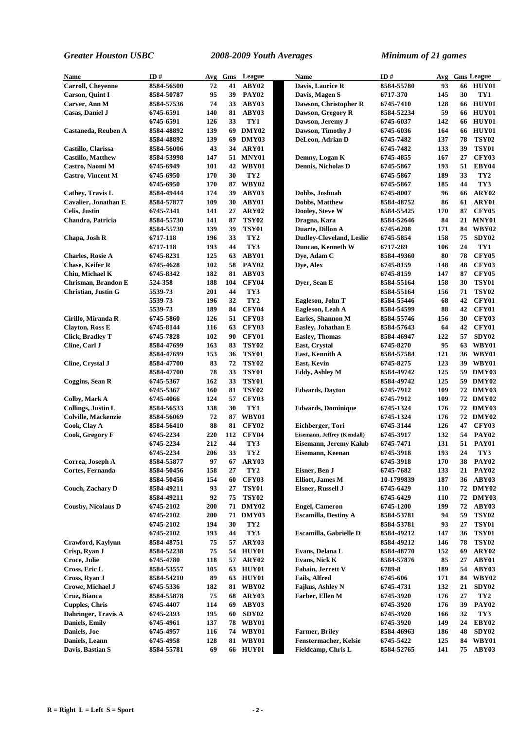| Name                       | ID#        | Avg | Gms | League          | Name                            | ID#        | Avg | <b>Gms League</b>       |
|----------------------------|------------|-----|-----|-----------------|---------------------------------|------------|-----|-------------------------|
| <b>Carroll, Cheyenne</b>   | 8584-56500 | 72  | 41  | ABY02           | Davis, Laurice R                | 8584-55780 | 93  | HUY01<br>66             |
| <b>Carson</b> , Quint I    | 8584-50787 | 95  | 39  | <b>PAY02</b>    | Davis, Magen S                  | 6717-370   | 145 | 30<br>TY1               |
| Carver, Ann M              | 8584-57536 | 74  | 33  | ABY03           | Dawson, Christopher R           | 6745-7410  | 128 | HUY01<br>66             |
| Casas, Daniel J            | 6745-6591  | 140 | 81  | ABY03           | Dawson, Gregory R               | 8584-52234 | 59  | <b>HUY01</b><br>66      |
|                            | 6745-6591  | 126 | 33  | TY1             | Dawson, Jeremy J                | 6745-6037  | 142 | HUY01<br>66             |
| Castaneda, Reuben A        | 8584-48892 | 139 |     | 69 DMY02        | Dawson, Timothy J               | 6745-6036  | 164 | HUY01<br>66             |
|                            | 8584-48892 | 139 |     | 69 DMY03        | DeLeon, Adrian D                | 6745-7482  | 137 | <b>TSY02</b><br>78      |
| Castillo, Clarissa         | 8584-56006 | 43  |     | 34 ARY01        |                                 | 6745-7482  | 133 | <b>TSY01</b><br>39      |
| <b>Castillo, Matthew</b>   | 8584-53998 | 147 |     | 51 MNY01        | Demny, Logan K                  | 6745-4855  | 167 | 27<br>CFY03             |
| Castro, Naomi M            | 6745-6949  | 101 |     | 42 WBY01        | Dennis, Nicholas D              | 6745-5867  | 193 | EBY04<br>51             |
| <b>Castro, Vincent M</b>   | 6745-6950  | 170 | 30  | TY <sub>2</sub> |                                 | 6745-5867  | 189 | 33<br>TY <sub>2</sub>   |
|                            | 6745-6950  | 170 | 87  | WBY02           |                                 | 6745-5867  | 185 | 44<br>TY3               |
| Cathey, Travis L           | 8584-49444 | 174 | 39  | ABY03           | Dobbs, Joshuah                  | 6745-8007  | 96  | ARY02<br>66             |
| Cavalier, Jonathan E       | 8584-57877 | 109 | 30  | ABY01           | <b>Dobbs, Matthew</b>           | 8584-48752 | 86  | ARY01<br>61             |
| Celis, Justin              | 6745-7341  | 141 | 27  | ARY02           | Dooley, Steve W                 | 8584-55425 | 170 | 87<br><b>CFY05</b>      |
| Chandra, Patricia          | 8584-55730 | 141 | 87  | <b>TSY02</b>    | Dragna, Kara                    | 8584-52646 | 84  | MNY01<br>21             |
|                            | 8584-55730 | 139 | 39  | <b>TSY01</b>    | Duarte, Dillon A                | 6745-6208  | 171 | WBY02<br>84             |
| Chapa, Josh R              | 6717-118   | 196 | 33  | TY <sub>2</sub> | <b>Dudley-Cleveland, Leslie</b> | 6745-5854  | 158 | 75<br>SDY <sub>02</sub> |
|                            | 6717-118   | 193 | 44  | TY3             | Duncan, Kenneth W               | 6717-269   | 106 | 24<br>TY1               |
| <b>Charles, Rosie A</b>    | 6745-8231  | 125 | 63  | ABY01           | Dye, Adam C                     | 8584-49360 | 80  | 78<br><b>CFY05</b>      |
| <b>Chase, Keifer R</b>     | 6745-4628  | 102 | 58  | <b>PAY02</b>    | Dye, Alex                       | 6745-8159  | 148 | <b>CFY03</b><br>48      |
| Chiu, Michael K            | 6745-8342  | 182 | 81  | ABY03           |                                 | 6745-8159  | 147 | <b>CFY05</b><br>87      |
| Chrisman, Brandon E        | 524-358    | 188 | 104 | <b>CFY04</b>    | Dyer, Sean E                    | 8584-55164 | 158 | <b>TSY01</b><br>30      |
| Christian, Justin G        | 5539-73    | 201 | 44  | TY3             |                                 | 8584-55164 | 156 | <b>TSY02</b><br>71      |
|                            | 5539-73    | 196 | 32  | TY <sub>2</sub> | Eagleson, John T                | 8584-55446 | 68  | 42<br>CFY01             |
|                            | 5539-73    | 189 | 84  | <b>CFY04</b>    | Eagleson, Leah A                | 8584-54599 | 88  | CFY01<br>42             |
| Cirillo, Miranda R         | 6745-5860  | 126 | 51  | <b>CFY03</b>    | Earles, Shannon M               | 8584-55746 | 156 | CFY03<br>30             |
| <b>Clayton, Ross E</b>     | 6745-8144  | 116 | 63  | <b>CFY03</b>    | Easley, Johathan E              | 8584-57643 | 64  | CFY01<br>42             |
| <b>Click, Bradley T</b>    | 6745-7828  | 102 | 90  | CFY01           | <b>Easley, Thomas</b>           | 8584-46947 | 122 | 57<br>SDY <sub>02</sub> |
| Cline, Carl J              | 8584-47699 | 163 | 83  | <b>TSY02</b>    | East, Crystal                   | 6745-8270  | 95  | WBY01<br>63             |
|                            | 8584-47699 | 153 | 36  | <b>TSY01</b>    | East, Kennith A                 | 8584-57584 | 121 | 36 WBY01                |
| Cline, Crystal J           | 8584-47700 | 83  | 72  | <b>TSY02</b>    | <b>East, Kevin</b>              | 6745-8275  | 123 | WBY01<br>39             |
|                            | 8584-47700 | 78  | 33  | <b>TSY01</b>    | Eddy, Ashley M                  | 8584-49742 | 125 | 59 DMY03                |
| Coggins, Sean R            | 6745-5367  | 162 | 33  | <b>TSY01</b>    |                                 | 8584-49742 | 125 | 59 DMY02                |
|                            | 6745-5367  | 160 | 81  | <b>TSY02</b>    | <b>Edwards</b> , Dayton         | 6745-7912  | 109 | 72 DMY03                |
| Colby, Mark A              | 6745-4066  | 124 | 57  | <b>CFY03</b>    |                                 | 6745-7912  | 109 | 72 DMY02                |
| Collings, Justin L         | 8584-56533 | 138 | 30  | TY1             | <b>Edwards, Dominique</b>       | 6745-1324  | 176 | 72 DMY03                |
| <b>Colville, Mackenzie</b> | 8584-56069 | 72  | 87  | WBY01           |                                 | 6745-1324  | 176 | 72 DMY02                |
| Cook, Clay A               | 8584-56410 | 88  | 81  | <b>CFY02</b>    | Eichberger, Tori                | 6745-3144  | 126 | CFY03<br>47             |
| Cook, Gregory F            | 6745-2234  | 220 | 112 | CFY04           | Eisemann, Jeffrey (Kendall)     | 6745-3917  | 132 | <b>PAY02</b><br>54      |
|                            | 6745-2234  | 212 | 44  | TY3             | Eisemann, Jeremy Kalub          | 6745-7471  | 131 | 51<br><b>PAY01</b>      |
|                            | 6745-2234  | 206 | 33  | TY <sub>2</sub> | Eisemann, Keenan                | 6745-3918  | 193 | 24<br>TY3               |
| Correa, Joseph A           | 8584-55877 | 97  | 67  | ARY03           |                                 | 6745-3918  | 170 | <b>PAY02</b><br>38      |
| Cortes, Fernanda           | 8584-50456 | 158 | 27  | TY <sub>2</sub> | Eisner, Ben J                   | 6745-7682  | 133 | <b>PAY02</b><br>21      |
|                            | 8584-50456 | 154 | 60  | <b>CFY03</b>    | <b>Elliott</b> , James M        | 10-1799839 | 187 | ABY03<br>36             |
| Couch, Zachary D           | 8584-49211 | 93  | 27  | <b>TSY01</b>    | <b>Elsner, Russell J</b>        | 6745-6429  | 110 | 72 DMY02                |
|                            | 8584-49211 | 92  | 75  | <b>TSY02</b>    |                                 | 6745-6429  | 110 | 72 DMY03                |
| <b>Cousby, Nicolaus D</b>  | 6745-2102  | 200 |     | 71 DMY02        | <b>Engel, Cameron</b>           | 6745-1200  | 199 | 72<br>ABY03             |
|                            | 6745-2102  | 200 |     | 71 DMY03        | <b>Escamilla, Destiny A</b>     | 8584-53781 | 94  | 59<br><b>TSY02</b>      |
|                            | 6745-2102  | 194 | 30  | TY <sub>2</sub> |                                 | 8584-53781 | 93  | <b>TSY01</b><br>27      |
|                            | 6745-2102  | 193 | 44  | TY3             | Escamilla, Gabrielle D          | 8584-49212 | 147 | <b>TSY01</b><br>36      |
| Crawford, Kavlynn          | 8584-48751 | 75  | 57  | ARY03           |                                 | 8584-49212 | 146 | <b>TSY02</b><br>78      |
| Crisp, Ryan J              | 8584-52238 | 75  | 54  | HUY01           | Evans, Delana L                 | 8584-48770 | 152 | ARY02<br>69             |
| Croce, Julie               | 6745-4780  | 118 | 57  | ARY02           | <b>Evans, Nick K</b>            | 8584-57876 | 85  | ABY01<br>27             |
| Cross, Eric L              | 8584-53557 | 105 | 63  | HUY01           | Fabain, Jerrett V               | 6789-8     | 189 | 54<br>ABY03             |
| Cross, Ryan J              | 8584-54210 | 89  | 63  | HUY01           | <b>Fails, Alfred</b>            | 6745-606   | 171 | WBY02<br>84             |
| Crowe, Michael J           | 6745-5336  | 182 |     | 81 WBY02        | Fajkus, Ashley N                | 6745-4731  | 132 | SDY02<br>21             |
| Cruz, Bianca               | 8584-55878 | 75  | 68  | ARY03           | Farber, Ellen M                 | 6745-3920  | 176 | 27<br>TY2               |
| <b>Cupples, Chris</b>      | 6745-4407  | 114 | 69  | ABY03           |                                 | 6745-3920  | 176 | 39<br><b>PAY02</b>      |
| Dahringer, Travis A        | 6745-2393  | 195 | 60  | SDY02           |                                 | 6745-3920  | 166 | 32<br>TY3               |
| Daniels, Emily             | 6745-4961  | 137 |     | <b>78 WBY01</b> |                                 | 6745-3920  | 149 | EBY02<br>24             |
| Daniels, Joe               | 6745-4957  | 116 |     | 74 WBY01        | <b>Farmer</b> , Briley          | 8584-46963 | 186 | 48<br>SDY02             |
| Daniels, Leann             | 6745-4958  | 128 |     | 81 WBY01        | Fenstermacher, Kelsie           | 6745-5422  | 125 | 84 WBY01                |
| Davis, Bastian S           | 8584-55781 | 69  |     | <b>66 HUY01</b> | Fieldcamp, Chris L              | 8584-52765 | 141 | 75 ABY03                |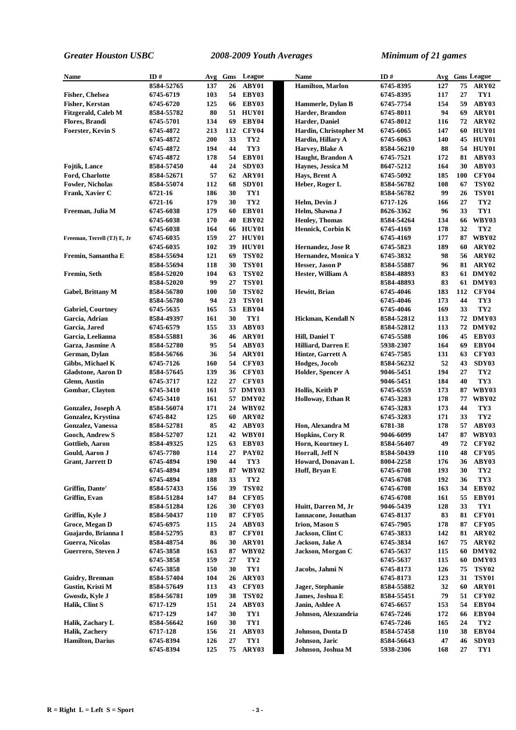| Name                        | ID#        | Avg | Gms | League          | Name                     | ID#        | Avg        |     | <b>Gms League</b> |
|-----------------------------|------------|-----|-----|-----------------|--------------------------|------------|------------|-----|-------------------|
|                             | 8584-52765 | 137 | 26  | ABY01           | <b>Hamilton</b> , Marlon | 6745-8395  | 127        | 75  | ARY02             |
|                             |            | 103 |     | 54 EBY03        |                          | 6745-8395  | 117        | 27  | TY1               |
| <b>Fisher, Chelsea</b>      | 6745-6719  |     |     |                 |                          |            |            |     |                   |
| Fisher, Kerstan             | 6745-6720  | 125 |     | 66 EBY03        | Hammerle, Dylan B        | 6745-7754  | 154        | 59  | ABY03             |
| <b>Fitzgerald, Caleb M</b>  | 8584-55782 | 80  |     | 51 HUY01        | Harder, Brandon          | 6745-8011  | 94         | 69  | ARY01             |
| <b>Flores, Brandi</b>       | 6745-5701  | 134 | 69  | EBY04           | Harder, Daniel           | 6745-8012  | 116        | 72  | ARY02             |
| <b>Foerster, Kevin S</b>    | 6745-4872  | 213 | 112 | <b>CFY04</b>    | Hardin, Christopher M    | 6745-6065  | 147        | 60  | HUY01             |
|                             | 6745-4872  | 200 | 33  | TY <sub>2</sub> | Hardin, Hillary A        | 6745-6063  | 140        | 45  | HUY01             |
|                             | 6745-4872  | 194 | 44  | TY3             | Harvey, Blake A          | 8584-56210 | 88         | 54  | <b>HUY01</b>      |
|                             | 6745-4872  | 178 | 54  | EBY01           | Haught, Brandon A        | 6745-7521  | 172        | 81  | ABY03             |
| <b>Fojtik, Lance</b>        | 8584-57450 | 44  | 24  | SDY03           | Haynes, Jessica M        | 8647-5212  | 164        | 30  | ABY03             |
| Ford, Charlotte             | 8584-52671 | 57  | 62  | ARY01           | Havs, Brent A            | 6745-5092  | 185        | 100 | CFY04             |
| <b>Fowler, Nicholas</b>     | 8584-55074 | 112 | 68  | SDY01           | Heber, Roger L           | 8584-56782 | 108        | 67  | <b>TSY02</b>      |
| Frank, Xavier C             | 6721-16    | 186 | 30  | TY1             |                          | 8584-56782 | 99         | 26  | <b>TSY01</b>      |
|                             | 6721-16    | 179 | 30  | TY <sub>2</sub> | Helm, Devin J            | 6717-126   | 166        | 27  | TY <sub>2</sub>   |
| Freeman, Julia M            | 6745-6038  | 179 | 60  | EBY01           | Helm, Shawna J           | 8626-3362  | 96         | 33  | TY1               |
|                             | 6745-6038  | 170 | 40  | EBY02           | <b>Henley, Thomas</b>    | 8584-54264 | 134        | 66  | WBY03             |
|                             | 6745-6038  | 164 |     | <b>66 HUY01</b> | <b>Hennick, Corbin K</b> | 6745-4169  | 178        | 32  | TY <sub>2</sub>   |
| Freeman, Terrell (TJ) E, Jr | 6745-6035  | 159 | 27  | HUY01           |                          | 6745-4169  | 177        | 87  | <b>WBY02</b>      |
|                             | 6745-6035  | 102 | 39  | <b>HUY01</b>    | Hernandez, Jose R        | 6745-5823  | 189        | 60  | ARY02             |
| Fremin, Samantha E          |            | 121 |     | <b>TSY02</b>    |                          |            | 98         | 56  | ARY <sub>02</sub> |
|                             | 8584-55694 |     | 69  |                 | Hernandez, Monica Y      | 6745-3832  |            |     |                   |
|                             | 8584-55694 | 118 | 30  | <b>TSY01</b>    | Hesser, Jason P          | 8584-55887 | 96         | 81  | ARY <sub>02</sub> |
| Fremin, Seth                | 8584-52020 | 104 | 63  | <b>TSY02</b>    | Hester, William A        | 8584-48893 | 83         |     | 61 DMY02          |
|                             | 8584-52020 | 99  | 27  | <b>TSY01</b>    |                          | 8584-48893 | 83         |     | 61 DMY03          |
| <b>Gabel, Brittany M</b>    | 8584-56780 | 100 | 50  | <b>TSY02</b>    | Hewitt, Brian            | 6745-4046  | 183        | 112 | <b>CFY04</b>      |
|                             | 8584-56780 | 94  | 23  | <b>TSY01</b>    |                          | 6745-4046  | 173        | 44  | TY3               |
| <b>Gabriel, Courtney</b>    | 6745-5635  | 165 | 53  | EBY04           |                          | 6745-4046  | 169        | 33  | TY <sub>2</sub>   |
| Garcia, Adrian              | 8584-49397 | 161 | 30  | TY1             | Hickman, Kendall N       | 8584-52812 | 113        |     | 72 DMY03          |
| Garcia, Jared               | 6745-6579  | 155 | 33  | ABY03           |                          | 8584-52812 | 113        |     | 72 DMY02          |
| Garcia, Leelianna           | 8584-55881 | 36  | 46  | ARY01           | Hill, Daniel T           | 6745-5588  | 106        | 45  | EBY03             |
| Garza, Jasmine A            | 8584-52780 | 95  | 54  | ABY03           | Hilliard, Darren E       | 5938-2307  | 164        | 69  | EBY04             |
| German, Dylan               | 8584-56766 | 36  | 54  | ARY01           | Hintze, Garrett A        | 6745-7585  | 131        | 63  | <b>CFY03</b>      |
| Gibbs, Michael K            | 6745-7126  | 160 | 54  | <b>CFY03</b>    | Hodges, Jocob            | 8584-56232 | 52         | 43  | SDY03             |
| <b>Gladstone, Aaron D</b>   | 8584-57645 | 139 | 36  | <b>CFY03</b>    | Holder, Spencer A        | 9046-5451  | 194        | 27  | TY <sub>2</sub>   |
| <b>Glenn, Austin</b>        | 6745-3717  | 122 | 27  | <b>CFY03</b>    |                          | 9046-5451  | 184        | 40  | TY3               |
| Gombar, Clayton             | 6745-3410  | 161 |     | 57 DMY03        | Hollis, Keith P          | 6745-6559  | 173        | 87  | WBY03             |
|                             | 6745-3410  | 161 |     | 57 DMY02        | Holloway, Ethan R        | 6745-3283  | 178        | 77  | <b>WBY02</b>      |
| Gonzalez, Joseph A          | 8584-56074 | 171 |     | 24 WBY02        |                          | 6745-3283  | 173        | 44  | TY3               |
| <b>Gonzalez, Krystina</b>   | 6745-842   | 125 | 60  | ARY02           |                          | 6745-3283  | 171        | 33  | TY <sub>2</sub>   |
| Gonzalez, Vanessa           | 8584-52781 | 85  | 42  | ABY03           | Hon, Alexandra M         | 6781-38    | 178        | 57  | ABY03             |
| Gooch, Andrew S             | 8584-52707 | 121 |     | 42 WBY01        | <b>Hopkins, Cory R</b>   | 9046-6099  | 147        | 87  | WBY03             |
| Gottlieb, Aaron             | 8584-49325 | 125 | 63  | EBY03           | Horn, Kourtney L         | 8584-56407 | 49         | 72  | <b>CFY02</b>      |
|                             |            | 114 |     |                 |                          |            | 110        | 48  |                   |
| Gould, Aaron J              | 6745-7780  |     |     | 27 PAY02        | Horrall, Jeff N          | 8584-50439 |            |     | CFY05             |
| Grant, Jarrett D            | 6745-4894  | 190 | 44  | TY3             | Howard, Donavan L        | 8004-2258  | 176        | 36  | ABY03             |
|                             | 6745-4894  | 189 | 87  | <b>WBY02</b>    | Huff, Bryan E            | 6745-6708  | 193        | 30  | TY <sub>2</sub>   |
|                             | 6745-4894  | 188 | 33  | TY <sub>2</sub> |                          | 6745-6708  | 192        | 36  | TY3               |
| Griffin, Dante'             | 8584-57433 | 156 | 39  | <b>TSY02</b>    |                          | 6745-6708  | 163        | 34  | EBY02             |
| Griffin, Evan               | 8584-51284 | 147 | 84  | <b>CFY05</b>    |                          | 6745-6708  | 161        | 55  | EBY01             |
|                             | 8584-51284 | 126 | 30  | CFY03           | Huitt, Darren M, Jr      | 9046-5439  | 128        | 33  | TY1               |
| Griffin, Kyle J             | 8584-50437 | 110 | 87  | CFY05           | Iannacone, Jonathan      | 6745-8137  | 83         | 81  | CFY01             |
| Groce, Megan D              | 6745-6975  | 115 | 24  | ABY03           | <b>Irion, Mason S</b>    | 6745-7905  | 178        | 87  | CFY05             |
| Guajardo, Brianna I         | 8584-52795 | 83  | 87  | CFY01           | Jackson, Clint C         | 6745-3833  | 142        | 81  | ARY02             |
| Guerra, Nicolas             | 8584-48754 | 86  | 30  | ARY01           | Jackson, Jake A          | 6745-3834  | 167        | 75  | ARY02             |
| Guerrero, Steven J          | 6745-3858  | 163 | 87  | <b>WBY02</b>    | Jackson, Morgan C        | 6745-5637  | 115        |     | 60 DMY02          |
|                             | 6745-3858  | 159 | 27  | TY <sub>2</sub> |                          | 6745-5637  | 115        | 60  | DMY03             |
|                             | 6745-3858  | 150 | 30  | TY1             | Jacobs, Jahmi N          | 6745-8173  | 126        | 75  | <b>TSY02</b>      |
| <b>Guidry, Brennan</b>      | 8584-57404 | 104 | 26  | ARY03           |                          | 6745-8173  | 123        | 31  | <b>TSY01</b>      |
| Gustin, Kristi M            | 8584-57649 | 113 | 43  | <b>CFY03</b>    | Jager, Stephanie         | 8584-55882 | 32         | 60  | ARY01             |
| Gwosdz, Kyle J              | 8584-56781 | 109 | 38  | <b>TSY02</b>    | James, Joshua E          | 8584-55451 | 79         | 51  | CFY02             |
| Halik, Clint S              | 6717-129   | 151 | 24  | ABY03           | Janin, Ashlee A          | 6745-6657  | 153        | 54  | EBY04             |
|                             | 6717-129   | 147 | 30  | TY1             | Johnson, Alexzandria     | 6745-7246  | 172        | 66  | EBY04             |
|                             |            |     |     | TY1             |                          |            |            | 24  | TY <sub>2</sub>   |
| Halik, Zachary L            | 8584-56642 | 160 | 30  |                 |                          | 6745-7246  | 165        |     |                   |
| <b>Halik, Zachery</b>       | 6717-128   | 156 | 21  | ABY03           | Johnson, Donta D         | 8584-57458 | <b>110</b> | 38  | EBY04             |
| <b>Hamilton</b> , Darius    | 6745-8394  | 126 | 27  | TY1             | Johnson, Jaric           | 8584-56643 | 47         | 46  | SDY03             |
|                             | 6745-8394  | 125 |     | 75 ARY03        | Johnson, Joshua M        | 5938-2306  | 168        | 27  | TY1               |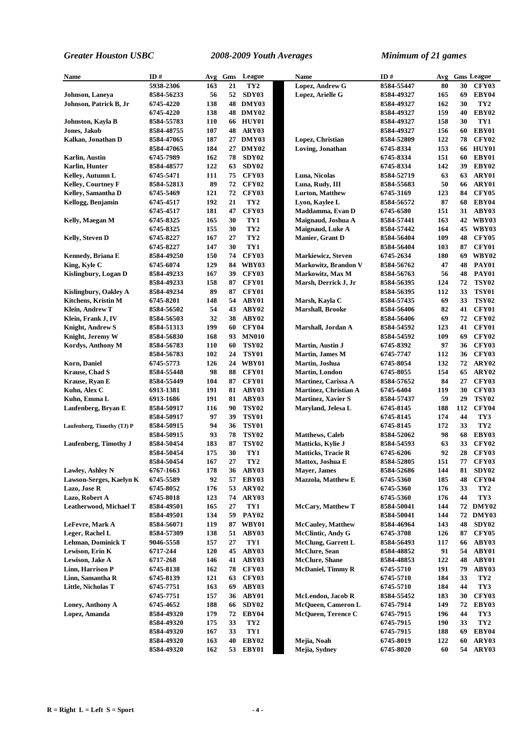| Name                       | ID#                      | Avg        | Gms       | League                       | Name                                          | ID#                     | Avg      |          | <b>Gms League</b>     |
|----------------------------|--------------------------|------------|-----------|------------------------------|-----------------------------------------------|-------------------------|----------|----------|-----------------------|
|                            | 5938-2306                | 163        | 21        | TY <sub>2</sub>              | Lopez, Andrew G                               | 8584-55447              | 80       | 30       | CFY03                 |
| Johnson, Laneya            | 8584-56233               | 56         | 52        | SDY03                        | Lopez, Arielle G                              | 8584-49327              | 165      | 69       | EBY04                 |
| Johnson, Patrick B, Jr     | 6745-4220                | 138        |           | 48 DMY03                     |                                               | 8584-49327              | 162      | 30       | TY <sub>2</sub>       |
|                            | 6745-4220                | 138        |           | <b>48 DMY02</b>              |                                               | 8584-49327              | 159      | 40       | EBY02                 |
| Johnston, Kayla B          | 8584-55783               | 110        |           | 66 HUY01                     |                                               | 8584-49327              | 158      | 30       | TY1                   |
| Jones, Jakob               | 8584-48755               | 107        | 48        | ARY03                        |                                               | 8584-49327              | 156      | 60       | EBY01                 |
| Kalkan, Jonathan D         | 8584-47065               | 187        | 27        | DMY03                        | Lopez, Christian                              | 8584-52809              | 122      | 78       | CFY02                 |
|                            | 8584-47065               | 184        |           | 27 DMY02                     | Loving, Jonathan                              | 6745-8334               | 153      | 66       | <b>HUY01</b>          |
| Karlin, Austin             | 6745-7989                | 162        | 78        | SDY02                        |                                               | 6745-8334               | 151      | 60       | EBY01                 |
| <b>Karlin, Hunter</b>      | 8584-48577               | 122        | 63        | SDY02                        |                                               | 6745-8334               | 142      | 39       | EBY02                 |
| Kelley, Autumn L           | 6745-5471                | 111        | 75        | <b>CFY03</b>                 | Luna, Nicolas                                 | 8584-52719              | 63       | 63       | ARY01                 |
| <b>Kelley, Courtney F</b>  | 8584-52813               | 89         | 72        | <b>CFY02</b>                 | Luna, Rudy, III                               | 8584-55683              | 50       | 66       | ARY01                 |
| Kelley, Samantha D         | 6745-5469                | 121        | 72        | CFY03                        | <b>Lurton, Matthew</b>                        | 6745-3169               | 123      | 84       | <b>CFY05</b>          |
| Kellogg, Benjamin          | 6745-4517                | 192        | 21        | TY <sub>2</sub>              | Lyon, Kaylee L                                | 8584-56572              | 87       | 68       | EBY04                 |
|                            | 6745-4517                | 181        | 47        | <b>CFY03</b>                 | Maddamma, Evan D                              | 6745-6580               | 151      | 31       | ABY03                 |
| Kelly, Maegan M            | 6745-8325                | 165        | 30        | TY1                          | Maignaud, Joshua A                            | 8584-57441              | 163      |          | 42 WBY03              |
|                            | 6745-8325                | 155        | 30        | TY <sub>2</sub>              | Maignaud, Luke A                              | 8584-57442              | 164      | 45       | WBY03                 |
| Kelly, Steven D            | 6745-8227                | 167        | 27        | TY <sub>2</sub>              | Manier, Grant D                               | 8584-56404              | 109      | 48       | CFY05                 |
|                            | 6745-8227                | 147        | 30        | TY1                          |                                               | 8584-56404              | 103      | 87       | CFY01                 |
| Kennedy, Briana E          | 8584-49250               | 150        | 74        | <b>CFY03</b>                 | Markiewicz, Steven                            | 6745-2634               | 180      | 69       | WBY02                 |
| King, Kyle C               | 6745-6074                | 129        | 84        | WBY03                        | Markowitz, Brandon V                          | 8584-56762              | 47       | 48       | <b>PAY01</b>          |
| Kislingbury, Logan D       | 8584-49233               | 167        | 39        | <b>CFY03</b>                 | Markowitz, Max M                              | 8584-56763              | 56       | 48       | <b>PAY01</b>          |
|                            | 8584-49233               | 158        | 87        | CFY01                        | Marsh, Derrick J, Jr                          | 8584-56395              | 124      | 72       | <b>TSY02</b>          |
| Kislingbury, Oakley A      | 8584-49234               | 89         | 87        | CFY01                        |                                               | 8584-56395              | 112      | 33       | <b>TSY01</b>          |
| Kitchens, Kristin M        | 6745-8201                | 148        | 54        | ABY01                        | Marsh, Kayla C                                | 8584-57435              | 69       | 33       | <b>TSY02</b>          |
| Klein, Andrew T            | 8584-56502               | 54         | 43        | ABY02                        | <b>Marshall</b> , Brooke                      | 8584-56406              | 82       | 41       | CFY01                 |
| Klein, Frank J, IV         | 8584-56503               | 32         | 38        | ABY02                        |                                               | 8584-56406              | 69       | 72       | CFY02                 |
| <b>Knight, Andrew S</b>    | 8584-51313               | 199        | 60        | <b>CFY04</b>                 | Marshall, Jordan A                            | 8584-54592              | 123      | 41       | CFY01                 |
| Knight, Jeremy W           | 8584-56830               | 168        | 93        | <b>MN010</b>                 |                                               | 8584-54592              | 109      | 69       | CFY02                 |
| Kordys, Anthony M          | 8584-56783               | <b>110</b> | 60        | <b>TSY02</b>                 | <b>Martin, Austin J</b>                       | 6745-8392               | 97       | 36       | CFY03                 |
|                            | 8584-56783               | 102        | 24        | <b>TSY01</b>                 | Martin, James M                               | 6745-7747               | 112      | 36       | CFY03                 |
| <b>Korn, Daniel</b>        | 6745-5773                | 126        | 24        | WBY01                        | Martin, Joshua                                | 6745-8054               | 132      | 72       | ARY02                 |
| <b>Krause, Chad S</b>      | 8584-55448               | 98         | 88        | CFY01                        | <b>Martin, London</b>                         | 6745-8055               | 154      | 65       | ARY02                 |
| Krause, Ryan E             | 8584-55449               | 104        | 87        | <b>CFY01</b>                 | Martinez, Carissa A                           | 8584-57652              | 84       | 27       | CFY03                 |
| Kuhn, Alex C               | 6913-1381                | 191        | 81        | ABY03                        | <b>Martinez, Christian A</b>                  | 6745-6404               | 119      | 30       | CFY03                 |
| Kuhn, Emma L               | 6913-1686                | 191        | 81        | ABY03                        | <b>Martinez, Xavier S</b>                     | 8584-57437              | 59       | 29       | <b>TSY02</b>          |
| Laufenberg, Bryan E        | 8584-50917               | 116        | 90        | <b>TSY02</b>                 | Maryland, Jelesa L                            | 6745-8145               | 188      | 112      | CFY04                 |
|                            | 8584-50917               | 97         | 39        | <b>TSY01</b>                 |                                               | 6745-8145               | 174      | 44       | TY3                   |
| Laufenberg, Timothy (TJ) P | 8584-50915               | 94         | 36        | <b>TSY01</b>                 |                                               | 6745-8145               | 172      | 33       | TY <sub>2</sub>       |
|                            | 8584-50915               | 93         | 78        | <b>TSY02</b><br><b>TSY02</b> | <b>Matthews</b> , Caleb                       | 8584-52062              | 98<br>63 | 68<br>33 | EBY03<br><b>CFY02</b> |
| Laufenberg, Timothy J      | 8584-50454<br>8584-50454 | 183<br>175 | 87<br>30  | TY1                          | Matticks, Kylie J                             | 8584-54593<br>6745-6206 | 92       | 28       | CFY03                 |
|                            | 8584-50454               | 167        | $\bf{27}$ | TY <sub>2</sub>              | <b>Matticks, Tracie R</b><br>Mattox, Joshua E | 8584-52805              | 151      | 77       | <b>CFY03</b>          |
| Lawley, Ashley N           | 6767-1663                | 178        | 36        | ABY03                        | <b>Mayer</b> , James                          | 8584-52686              | 144      | 81       | SDY02                 |
| Lawson-Serges, Kaelyn K    | 6745-5589                | 92         | 57        | EBY03                        | <b>Mazzola, Matthew E</b>                     | 6745-5360               | 185      | 48       | <b>CFY04</b>          |
| Lazo, Jose R               | 6745-8052                | 176        | 53        | ARY02                        |                                               | 6745-5360               | 176      | 33       | TY <sub>2</sub>       |
| Lazo, Robert A             | 6745-8018                | 123        | 74        | ARY03                        |                                               | 6745-5360               | 176      | 44       | TY3                   |
| Leatherwood, Michael T     | 8584-49501               | 165        | 27        | TY1                          | <b>McCary, Matthew T</b>                      | 8584-50041              | 144      |          | 72 DMY02              |
|                            | 8584-49501               | 134        | 59        | <b>PAY02</b>                 |                                               | 8584-50041              | 144      |          | 72 DMY03              |
| LeFevre, Mark A            | 8584-56071               | 119        | 87        | WBY01                        | <b>McCauley, Matthew</b>                      | 8584-46964              | 143      | 48       | SDY02                 |
| Leger, Rachel L            | 8584-57309               | 138        | 51        | ABY03                        | <b>McClintic, Andy G</b>                      | 6745-3708               | 126      | 87       | <b>CFY05</b>          |
| <b>Lehman, Dominick T</b>  | 9046-5558                | 157        | 27        | TY1                          | <b>McClung, Garrett L</b>                     | 8584-56493              | 117      | 66       | ABY03                 |
| Lewison, Erin K            | 6717-244                 | 120        | 45        | ABY03                        | McClure, Sean                                 | 8584-48852              | 91       | 54       | ABY01                 |
| Lewison, Jake A            | 6717-268                 | 146        | 41        | ABY03                        | <b>McClure</b> , Shane                        | 8584-48853              | 122      | 48       | ABY01                 |
| Linn, Harrison P           | 6745-8138                | 162        | 78        | CFY03                        | <b>McDaniel, Timmy R</b>                      | 6745-5710               | 191      | 79       | ABY03                 |
| Linn, Samantha R           | 6745-8139                | 121        | 63        | <b>CFY03</b>                 |                                               | 6745-5710               | 184      | 33       | TY <sub>2</sub>       |
| Little, Nicholas T         | 6745-7751                | 163        | 69        | ABY03                        |                                               | 6745-5710               | 184      | 44       | TY3                   |
|                            | 6745-7751                | 157        | 36        | ABY01                        | McLendon, Jacob R                             | 8584-55452              | 183      | 30       | CFY03                 |
| Loney, Anthony A           | 6745-4652                | 188        | 66        | SDY02                        | McQueen, Cameron L                            | 6745-7914               | 149      | 72       | EBY03                 |
| Lopez, Amanda              | 8584-49320               | 179        | 72        | EBY04                        | McQueen, Terence C                            | 6745-7915               | 196      | 44       | TY3                   |
|                            | 8584-49320               | 175        | 33        | TY <sub>2</sub>              |                                               | 6745-7915               | 190      | 33       | TY <sub>2</sub>       |
|                            | 8584-49320               | 167        | 33        | TY1                          |                                               | 6745-7915               | 188      | 69       | EBY04                 |
|                            | 8584-49320               | 163        | 40        | EBY02                        | Mejia, Noah                                   | 6745-8019               | 122      | 60       | ARY03                 |
|                            | 8584-49320               | 162        | 53        | EBY01                        | Mejia, Sydney                                 | 6745-8020               | 60       |          | 54 ARY03              |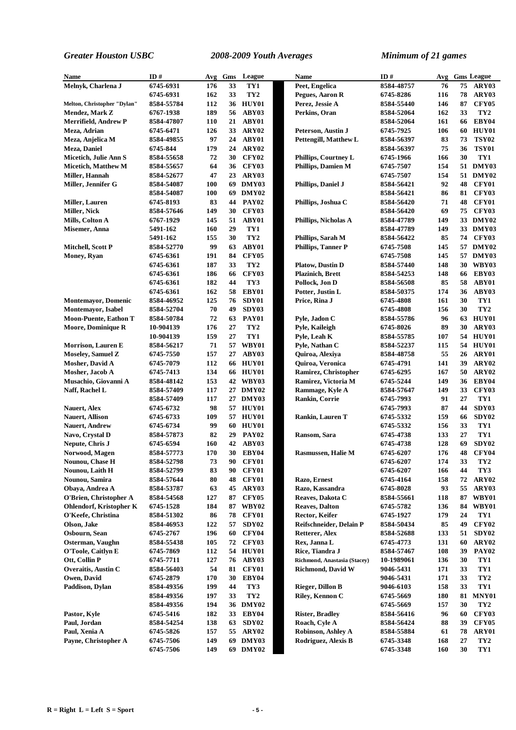| Name                                                 | ID#                      |            | Gms      | League                       | <b>Name</b>                              | ID#                      | Avg        |          | <b>Gms League</b>      |
|------------------------------------------------------|--------------------------|------------|----------|------------------------------|------------------------------------------|--------------------------|------------|----------|------------------------|
| Melnyk, Charlena J                                   | 6745-6931                | Avg<br>176 | 33       | TY1                          | Peet, Engelica                           | 8584-48757               | 76         | 75       | ARY03                  |
|                                                      | 6745-6931                | 162        | 33       | TY <sub>2</sub>              | Pegues, Aaron R                          | 6745-8286                | 116        | 78       | ARY03                  |
|                                                      | 8584-55784               | 112        |          | 36 HUY01                     | Perez, Jessie A                          | 8584-55440               | 146        | 87       | <b>CFY05</b>           |
| Melton, Christopher "Dylan"<br><b>Mendez, Mark Z</b> | 6767-1938                | 189        | 56       | ABY03                        | Perkins, Oran                            | 8584-52064               | 162        | 33       | TY <sub>2</sub>        |
| Merrifield, Andrew P                                 | 8584-47807               | <b>110</b> | 21       | ABY01                        |                                          | 8584-52064               | 161        | 66       | EBY04                  |
| Meza, Adrian                                         | 6745-6471                | 126        | 33       | ARY02                        | Peterson, Austin J                       | 6745-7925                | 106        | 60       | HUY01                  |
| Meza, Anjelica M                                     | 8584-49855               | 97         | 24       | ABY01                        | Pettengill, Matthew L                    | 8584-56397               | 83         | 73       | <b>TSY02</b>           |
| Meza, Daniel                                         | 6745-844                 | 179        | 24       | ARY02                        |                                          | 8584-56397               | 75         | 36       | <b>TSY01</b>           |
| Micetich, Julie Ann S                                | 8584-55658               | 72         | 30       | <b>CFY02</b>                 | Phillips, Courtney L                     | 6745-1966                | 166        | 30       | TY1                    |
| <b>Micetich, Matthew M</b>                           | 8584-55657               | 64         | 36       | CFY03                        | <b>Phillips, Damien M</b>                | 6745-7507                | 154        |          | 51 DMY03               |
| Miller, Hannah                                       | 8584-52677               | 47         | 23       | ARY03                        |                                          | 6745-7507                | 154        |          | 51 DMY02               |
| Miller, Jennifer G                                   | 8584-54087               | 100        | 69       | DMY03                        | Phillips, Daniel J                       | 8584-56421               | 92         | 48       | CFY01                  |
|                                                      | 8584-54087               | 100        | 69       | DMY02                        |                                          | 8584-56421               | 86         | 81       | <b>CFY03</b>           |
| <b>Miller, Lauren</b>                                | 6745-8193                | 83         | 44       | PAY02                        | Phillips, Joshua C                       | 8584-56420               | 71         | 48       | CFY01                  |
| <b>Miller, Nick</b>                                  | 8584-57646               | 149        | 30       | <b>CFY03</b>                 |                                          | 8584-56420               | 69         | 75       | CFY03                  |
| Mills, Colton A                                      | 6767-1929                | 145        | 51       | ABY01                        | Phillips, Nicholas A                     | 8584-47789               | 149        |          | 33 DMY02               |
| Misemer, Anna                                        | 5491-162                 | 160        | 29       | TY1                          |                                          | 8584-47789               | 149        |          | 33 DMY03               |
|                                                      | 5491-162                 | 155        | 30       | TY <sub>2</sub>              | Phillips, Sarah M                        | 8584-56422               | 85         | 74       | CFY03                  |
| Mitchell, Scott P                                    | 8584-52770               | 99         | 63       | ABY01                        | <b>Phillips, Tanner P</b>                | 6745-7508                | 145        |          | 57 DMY02               |
|                                                      | 6745-6361                | 191        | 84       | <b>CFY05</b>                 |                                          | 6745-7508                | 145        |          | 57 DMY03               |
| <b>Money, Ryan</b>                                   | 6745-6361                | 187        | 33       | TY <sub>2</sub>              | <b>Platow, Dustin D</b>                  | 8584-57440               | 148        |          | 30 WBY03               |
|                                                      | 6745-6361                | 186        | 66       | <b>CFY03</b>                 | <b>Plazinich</b> , Brett                 | 8584-54253               | 148        | 66       | EBY03                  |
|                                                      | 6745-6361                | 182        | 44       | TY3                          | Pollock, Jon D                           | 8584-56508               | 85         | 58       | ABY01                  |
|                                                      | 6745-6361                | 162        | 58       | EBY01                        | Potter, Justin L                         | 8584-50375               | 174        | 36       | ABY03                  |
| <b>Montemayor</b> , Domenic                          | 8584-46952               | 125        | 76       | SDY01                        | Price, Rina J                            | 6745-4808                | 161        | 30       | TY1                    |
| <b>Montemayor</b> , Isabel                           | 8584-52704               | 70         | 49       | SDY03                        |                                          | 6745-4808                | 156        | 30       | TY <sub>2</sub>        |
| <b>Moon-Puente, Eathon T</b>                         |                          | 72         | 63       | <b>PAY01</b>                 | Pyle, Jadon C                            | 8584-55786               | 96         | 63       | HUY01                  |
|                                                      | 8584-50784               | 176        | 27       | TY <sub>2</sub>              |                                          | 6745-8026                | 89         | 30       | ARY03                  |
| <b>Moore, Dominique R</b>                            | 10-904139<br>10-904139   | 159        | 27       | TY1                          | Pyle, Kaileigh                           | 8584-55785               | 107        | 54       | HUY01                  |
|                                                      |                          | 71         | 57       | WBY01                        | Pyle, Leah K                             |                          |            |          | 54 HUY01               |
| <b>Morrison, Lauren E</b>                            | 8584-56217<br>6745-7550  | 157        | 27       | ABY03                        | Pyle, Nathan C                           | 8584-52237<br>8584-48758 | 115<br>55  | 26       | ARY01                  |
| <b>Moseley, Samuel Z</b>                             |                          |            |          |                              | Quiroa, Alexiya                          |                          |            |          |                        |
| Mosher, David A                                      | 6745-7079<br>6745-7413   | 112<br>134 |          | 66 HUY01                     | Quiroa, Veronica<br>Ramirez, Christopher | 6745-4791<br>6745-6295   | 141        | 39<br>50 | ARY02<br>ARY02         |
| Mosher, Jacob A                                      |                          | 153        |          | 66 HUY01                     |                                          |                          | 167        |          | EBY04                  |
| Musachio, Giovanni A                                 | 8584-48142               |            |          | 42 WBY03                     | Ramirez, Victoria M                      | 6745-5244                | 149        | 36       |                        |
| Naff, Rachel L                                       | 8584-57409               | 117<br>117 |          | 27 DMY02                     | Rammage, Kyle A                          | 8584-57647               | 149<br>91  | 33<br>27 | <b>CFY03</b><br>TY1    |
|                                                      | 8584-57409<br>6745-6732  | 98         |          | 27 DMY03                     | <b>Rankin, Corrie</b>                    | 6745-7993<br>6745-7993   | 87         | 44       | SDY03                  |
| Nauert, Alex                                         |                          | 109        |          | 57 HUY01<br>57 HUY01         | <b>Rankin, Lauren T</b>                  | 6745-5332                | 159        | 66       | SDY02                  |
| <b>Nauert, Allison</b><br><b>Nauert, Andrew</b>      | 6745-6733<br>6745-6734   | 99         | 60       | HUY01                        |                                          | 6745-5332                | 156        | 33       | TY1                    |
|                                                      |                          | 82         | 29       | <b>PAY02</b>                 | Ransom, Sara                             | 6745-4738                | 133        | 27       | TY1                    |
| Navo, Crystal D<br>Nepute, Chris J                   | 8584-57873<br>6745-6594  | 160        | 42       | ABY03                        |                                          | 6745-4738                | 128        | 69       | SDY02                  |
| Norwood, Magen                                       | 8584-57773               | 170        |          | 30 EBY04                     | Rasmussen, Halie M                       | 6745-6207                | 176        | 48       | CFY04                  |
|                                                      |                          |            | 90       |                              |                                          |                          |            |          |                        |
| Nounou, Chase H<br>Nounou, Laith H                   | 8584-52798<br>8584-52799 | 73<br>83   | 90       | <b>CFY01</b><br><b>CFY01</b> |                                          | 6745-6207<br>6745-6207   | 174<br>166 | 33<br>44 | TY <sub>2</sub><br>TY3 |
| Nounou, Samira                                       | 8584-57644               | 80         | 48       | <b>CFY01</b>                 | Razo, Ernest                             | 6745-4164                | 158        | 72       | ARY02                  |
| Obaya, Andrea A                                      | 8584-53787               | 63         | 45       | ARY03                        | Razo, Kassandra                          | 6745-8028                | 93         | 55       | ARY03                  |
| O'Brien, Christopher A                               | 8584-54568               | 127        | 87       | <b>CFY05</b>                 | Reaves, Dakota C                         | 8584-55661               | 118        | 87       | <b>WBY01</b>           |
| <b>Ohlendorf, Kristopher K</b>                       | 6745-1528                | 184        |          | 87 WBY02                     | <b>Reaves, Dalton</b>                    | 6745-5782                | 136        | 84       | WBY01                  |
| O'Keefe, Christina                                   | 8584-51302               | 86         | 78       | CFY01                        | Rector, Keifer                           | 6745-1927                | 179        | 24       | TY1                    |
| Olson, Jake                                          | 8584-46953               | 122        | 57       | SDY <sub>02</sub>            | Reifschneider, Delain P                  | 8584-50434               | 85         | 49       | CFY02                  |
| Osbourn, Sean                                        | 6745-2767                | 196        | 60       | <b>CFY04</b>                 | Retterer, Alex                           | 8584-52688               | 133        | 51       | SDY02                  |
| Osterman, Vaughn                                     | 8584-55438               | 105        | 72       | <b>CFY03</b>                 | Rex, Janna L                             | 6745-4773                | 131        | 60       | ARY02                  |
| O'Toole, Caitlyn E                                   | 6745-7869                | 112        |          | 54 HUY01                     | Rice, Tiandra J                          | 8584-57467               | 108        | 39       | <b>PAY02</b>           |
|                                                      |                          | 127        |          |                              | Richmond, Anastasia (Stacey)             |                          |            |          | TY1                    |
| Ott, Collin P<br>Overaitis, Austin C                 | 6745-7711<br>8584-56403  | 54         | 76<br>81 | ABY03<br><b>CFY01</b>        | <b>Richmond, David W</b>                 | 10-1989061<br>9046-5431  | 136<br>171 | 30<br>33 | TY1                    |
| Owen, David                                          | 6745-2879                | 170        | 30       | EBY04                        |                                          | 9046-5431                | 171        | 33       | TY <sub>2</sub>        |
| Paddison, Dylan                                      | 8584-49356               | 199        | 44       | TY3                          | <b>Rieger, Dillon B</b>                  | 9046-6103                | 158        | 33       | TY1                    |
|                                                      | 8584-49356               | 197        | 33       | TY <sub>2</sub>              | Riley, Kennon C                          | 6745-5669                | 180        | 81       | MNY01                  |
|                                                      | 8584-49356               | 194        |          | 36 DMY02                     |                                          | 6745-5669                | 157        | 30       | TY <sub>2</sub>        |
| Pastor, Kyle                                         | 6745-5416                | 182        | 33       | EBY04                        | <b>Rister, Bradley</b>                   | 8584-56416               | 96         | 60       | <b>CFY03</b>           |
| Paul, Jordan                                         | 8584-54254               | 138        | 63       | SDY02                        | Roach, Cyle A                            | 8584-56424               | 88         | 39       | <b>CFY05</b>           |
| Paul, Xenia A                                        | 6745-5826                | 157        |          | 55 ARY02                     | Robinson, Ashley A                       | 8584-55884               | 61         | 78       | ARY01                  |
| Payne, Christopher A                                 | 6745-7506                | 149        |          | 69 DMY03                     | Rodriguez, Alexis B                      | 6745-3348                | 168        | 27       | TY <sub>2</sub>        |
|                                                      | 6745-7506                | 149        |          | 69 DMY02                     |                                          | 6745-3348                | 160        | 30       | TY1                    |
|                                                      |                          |            |          |                              |                                          |                          |            |          |                        |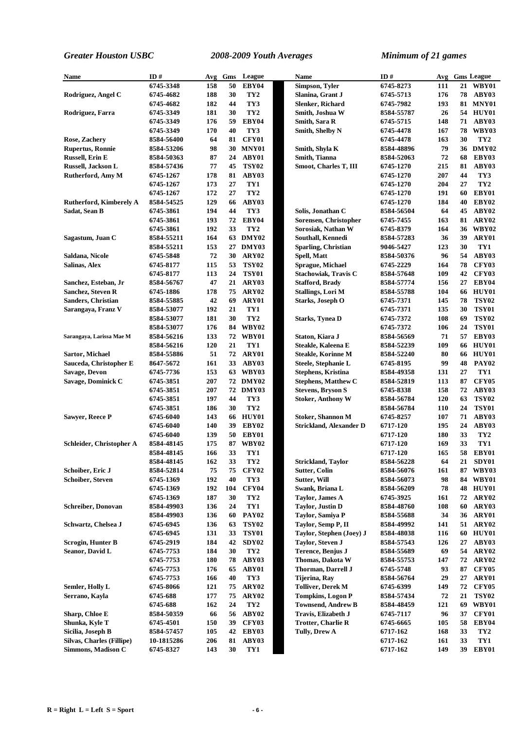| Name                           | ID#        | Avg | Gms | League            | Name                         | ID#        |     |    | Avg Gms League  |
|--------------------------------|------------|-----|-----|-------------------|------------------------------|------------|-----|----|-----------------|
|                                | 6745-3348  | 158 | 50  | EBY04             | Simpson, Tyler               | 6745-8273  | 111 |    | 21 WBY01        |
| Rodriguez, Angel C             | 6745-4682  | 188 | 30  | TY <sub>2</sub>   | Slanina, Grant J             | 6745-5713  | 176 |    | 78 ABY03        |
|                                | 6745-4682  | 182 | 44  | TY3               | Slenker, Richard             | 6745-7982  | 193 |    | <b>81 MNY01</b> |
| Rodriguez, Farra               | 6745-3349  | 181 | 30  | TY <sub>2</sub>   | Smith, Joshua W              | 8584-55787 | 26  |    | 54 HUY01        |
|                                | 6745-3349  | 176 | 59  | EBY04             | Smith, Sara R                | 6745-5715  | 148 |    | 71 ABY03        |
|                                | 6745-3349  | 170 | 40  | TY3               | Smith, Shelby N              | 6745-4478  | 167 |    | <b>78 WBY03</b> |
| Rose, Zachery                  | 8584-56400 | 64  | 81  | CFY01             |                              | 6745-4478  | 163 | 30 | TY <sub>2</sub> |
| <b>Rupertus, Ronnie</b>        | 8584-53206 | 98  |     | 30 MNY01          | Smith, Shyla K               | 8584-48896 | 79  |    | 36 DMY02        |
| <b>Russell, Erin E</b>         | 8584-50363 | 87  | 24  | ABY01             | Smith, Tianna                | 8584-52063 | 72  | 68 | EBY03           |
| Russell, Jackson L             | 8584-57436 | 77  | 45  | <b>TSY02</b>      | <b>Smoot, Charles T, III</b> | 6745-1270  | 215 | 81 | ABY03           |
| <b>Rutherford, Amy M</b>       | 6745-1267  | 178 | 81  | ABY03             |                              | 6745-1270  | 207 | 44 | TY3             |
|                                | 6745-1267  | 173 | 27  | TY1               |                              | 6745-1270  | 204 | 27 | TY <sub>2</sub> |
|                                | 6745-1267  | 172 | 27  | TY <sub>2</sub>   |                              | 6745-1270  | 191 | 60 | EBY01           |
| <b>Rutherford, Kimberely A</b> | 8584-54525 | 129 | 66  | ABY03             |                              | 6745-1270  | 184 | 40 | EBY02           |
| Sadat, Sean B                  | 6745-3861  | 194 | 44  | TY3               | Solis, Jonathan C            | 8584-56504 | 64  | 45 | ABY02           |
|                                | 6745-3861  | 193 | 72  | EBY04             | Sorensen, Christopher        | 6745-7455  | 163 | 81 | ARY02           |
|                                | 6745-3861  | 192 | 33  | TY <sub>2</sub>   | Sorosiak, Nathan W           | 6745-8379  | 164 | 36 | <b>WBY02</b>    |
| Sagastum, Juan C               | 8584-55211 | 164 |     | 63 DMY02          | Southall, Kennedi            | 8584-57283 | 36  | 39 | ARY01           |
|                                | 8584-55211 | 153 | 27  | DMY03             | Sparling, Christian          | 9046-5427  | 123 | 30 | TY1             |
| Saldana, Nicole                | 6745-5848  | 72  | 30  | ARY02             | Spell, Matt                  | 8584-50376 | 96  | 54 | ABY03           |
| Salinas, Alex                  | 6745-8177  | 115 | 53  | <b>TSY02</b>      | <b>Sprague, Michael</b>      | 6745-2229  | 164 | 78 | CFY03           |
|                                | 6745-8177  | 113 | 24  | <b>TSY01</b>      | <b>Stachowiak, Travis C</b>  | 8584-57648 | 109 | 42 | CFY03           |
| Sanchez, Esteban, Jr           | 8584-56767 | 47  | 21  | ARY03             | <b>Stafford, Brady</b>       | 8584-57774 | 156 | 27 | EBY04           |
| Sanchez, Steven R              | 6745-1886  | 178 | 75  | ARY02             | Stallings, Lori M            | 8584-55788 | 104 | 66 | HUY01           |
| <b>Sanders, Christian</b>      | 8584-55885 | 42  | 69  | ARY01             | Starks, Joseph O             | 6745-7371  | 145 | 78 | <b>TSY02</b>    |
| Sarangaya, Franz V             | 8584-53077 | 192 | 21  | TY1               |                              | 6745-7371  | 135 | 30 | <b>TSY01</b>    |
|                                | 8584-53077 | 181 | 30  | TY <sub>2</sub>   | <b>Starks, Tynea D</b>       | 6745-7372  | 108 | 69 | <b>TSY02</b>    |
|                                | 8584-53077 | 176 | 84  | WBY02             |                              | 6745-7372  | 106 | 24 | TSY01           |
| Sarangaya, Larissa Mae M       | 8584-56216 | 133 | 72  | WBY01             | Staton, Kiara J              | 8584-56569 | 71  | 57 | EBY03           |
|                                | 8584-56216 | 120 | 21  | TY1               | Steakle, Kaleena E           | 8584-52239 | 109 |    | 66 HUY01        |
| Sartor, Michael                | 8584-55886 | 51  | 72  | ARY01             | Steakle, Korinne M           | 8584-52240 | 80  | 66 | HUY01           |
| Sauceda, Christopher E         | 8647-5672  | 161 | 33  | ABY03             | Steele, Stephanie L          | 6745-8195  | 99  | 48 | <b>PAY02</b>    |
| <b>Savage, Devon</b>           | 6745-7736  | 153 |     | 63 WBY03          | <b>Stephens, Kristina</b>    | 8584-49358 | 131 | 27 | TY1             |
| Savage, Dominick C             | 6745-3851  | 207 |     | 72 DMY02          | <b>Stephens, Matthew C</b>   | 8584-52819 | 113 | 87 | CFY05           |
|                                | 6745-3851  | 207 |     | 72 DMY03          | <b>Stevens, Bryson S</b>     | 6745-8338  | 158 | 72 | ABY03           |
|                                | 6745-3851  | 197 | 44  | TY3               | <b>Stoker, Anthony W</b>     | 8584-56784 | 120 | 63 | <b>TSY02</b>    |
|                                | 6745-3851  | 186 | 30  | TY <sub>2</sub>   |                              | 8584-56784 | 110 | 24 | <b>TSY01</b>    |
| <b>Sawyer, Reece P</b>         | 6745-6040  | 143 |     | 66 HUY01          | <b>Stoker, Shannon M</b>     | 6745-8257  | 107 | 71 | ABY03           |
|                                | 6745-6040  | 140 | 39  | EBY02             | Strickland, Alexander D      | 6717-120   | 195 | 24 | ABY03           |
|                                | 6745-6040  | 139 | 50  | EBY01             |                              | 6717-120   | 180 | 33 | TY <sub>2</sub> |
| Schleider, Christopher A       | 8584-48145 | 175 | 87  | WBY02             |                              | 6717-120   | 169 | 33 | TY1             |
|                                | 8584-48145 | 166 | 33  | TY1               |                              | 6717-120   | 165 | 58 | EBY01           |
|                                | 8584-48145 | 162 | 33  | TY <sub>2</sub>   | <b>Strickland, Taylor</b>    | 8584-56228 | 64  | 21 | SDY01           |
| Schoiber, Eric J               | 8584-52814 | 75  | 75  | <b>CFY02</b>      | Sutter, Colin                | 8584-56076 | 161 |    | 87 WBY03        |
| <b>Schoiber, Steven</b>        | 6745-1369  | 192 | 40  | TY3               | Sutter, Will                 | 8584-56073 | 98  |    | 84 WBY01        |
|                                | 6745-1369  | 192 | 104 | <b>CFY04</b>      | Swank, Briana L              | 8584-56209 | 78  |    | <b>48 HUY01</b> |
|                                | 6745-1369  | 187 | 30  | TY <sub>2</sub>   | <b>Taylor, James A</b>       | 6745-3925  | 161 | 72 | ARY02           |
| <b>Schreiber, Donovan</b>      | 8584-49903 | 136 | 24  | TY1               | <b>Taylor, Justin D</b>      | 8584-48760 | 108 | 60 | ARY03           |
|                                | 8584-49903 | 136 | 60  | <b>PAY02</b>      | Taylor, Samiya P             | 8584-55688 | 34  | 36 | ARY01           |
| Schwartz, Chelsea J            | 6745-6945  | 136 | 63  | <b>TSY02</b>      | Taylor, Semp P, II           | 8584-49992 | 141 | 51 | ARY02           |
|                                | 6745-6945  | 131 | 33  | <b>TSY01</b>      | Taylor, Stephen (Joey) J     | 8584-48038 | 116 |    | 60 HUY01        |
| Scrogin, Hunter B              | 6745-2919  | 184 | 42  | SDY <sub>02</sub> | <b>Taylor, Steven J</b>      | 8584-57543 | 126 | 27 | ABY03           |
| Seanor, David L                | 6745-7753  | 184 | 30  | TY <sub>2</sub>   | Terence, Benjus J            | 8584-55689 | 69  | 54 | ARY02           |
|                                | 6745-7753  | 180 | 78  | ABY03             | Thomas, Dakota W             | 8584-55753 | 147 | 72 | ARY02           |
|                                | 6745-7753  | 176 | 65  | ABY01             | Thorman, Darrell J           | 6745-5748  | 93  | 87 | <b>CFY05</b>    |
|                                | 6745-7753  | 166 | 40  | TY3               | <b>Tijerina</b> , Ray        | 8584-56764 | 29  | 27 | ARY01           |
| Semler, Holly L                | 6745-8066  | 121 | 75  | ARY <sub>02</sub> | <b>Tolliver, Derek M</b>     | 6745-6399  | 149 | 72 | CFY05           |
| Serrano, Kayla                 | 6745-688   | 177 | 75  | ARY <sub>02</sub> | <b>Tompkins, Logon P</b>     | 8584-57434 | 72  | 21 | <b>TSY02</b>    |
|                                | 6745-688   | 162 | 24  | TY2               | <b>Townsend, Andrew B</b>    | 8584-48459 | 121 | 69 | WBY01           |
| Sharp, Chloe E                 | 8584-50359 | 66  | 56  | ABY02             | Travis, Elizabeth J          | 6745-7117  | 96  | 37 | CFY01           |
| Shunka, Kyle T                 | 6745-4501  | 150 | 39  | <b>CFY03</b>      | <b>Trotter, Charlie R</b>    | 6745-6665  | 105 | 58 | EBY04           |
| Sicilia, Joseph B              | 8584-57457 | 105 | 42  | EBY03             | Tully, Drew A                | 6717-162   | 168 | 33 | TY <sub>2</sub> |
| Silvas, Charles (Fillipe)      | 10-1815286 | 206 | 81  | ABY03             |                              | 6717-162   | 161 | 33 | TY1             |
| Simmons, Madison C             | 6745-8327  | 143 | 30  | TY1               |                              | 6717-162   | 149 | 39 | EBY01           |